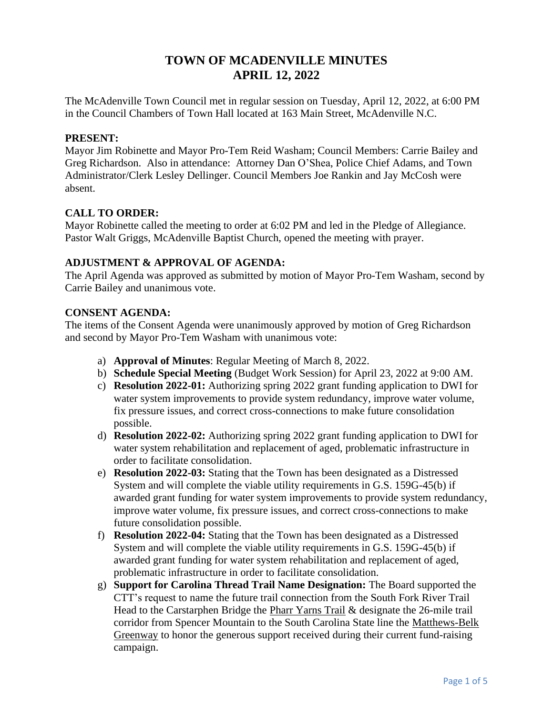# **TOWN OF MCADENVILLE MINUTES APRIL 12, 2022**

The McAdenville Town Council met in regular session on Tuesday, April 12, 2022, at 6:00 PM in the Council Chambers of Town Hall located at 163 Main Street, McAdenville N.C.

### **PRESENT:**

Mayor Jim Robinette and Mayor Pro-Tem Reid Washam; Council Members: Carrie Bailey and Greg Richardson. Also in attendance: Attorney Dan O'Shea, Police Chief Adams, and Town Administrator/Clerk Lesley Dellinger. Council Members Joe Rankin and Jay McCosh were absent.

# **CALL TO ORDER:**

Mayor Robinette called the meeting to order at 6:02 PM and led in the Pledge of Allegiance. Pastor Walt Griggs, McAdenville Baptist Church, opened the meeting with prayer.

# **ADJUSTMENT & APPROVAL OF AGENDA:**

The April Agenda was approved as submitted by motion of Mayor Pro-Tem Washam, second by Carrie Bailey and unanimous vote.

# **CONSENT AGENDA:**

The items of the Consent Agenda were unanimously approved by motion of Greg Richardson and second by Mayor Pro-Tem Washam with unanimous vote:

- a) **Approval of Minutes**: Regular Meeting of March 8, 2022.
- b) **Schedule Special Meeting** (Budget Work Session) for April 23, 2022 at 9:00 AM.
- c) **Resolution 2022-01:** Authorizing spring 2022 grant funding application to DWI for water system improvements to provide system redundancy, improve water volume, fix pressure issues, and correct cross-connections to make future consolidation possible.
- d) **Resolution 2022-02:** Authorizing spring 2022 grant funding application to DWI for water system rehabilitation and replacement of aged, problematic infrastructure in order to facilitate consolidation.
- e) **Resolution 2022-03:** Stating that the Town has been designated as a Distressed System and will complete the viable utility requirements in G.S. 159G-45(b) if awarded grant funding for water system improvements to provide system redundancy, improve water volume, fix pressure issues, and correct cross-connections to make future consolidation possible.
- f) **Resolution 2022-04:** Stating that the Town has been designated as a Distressed System and will complete the viable utility requirements in G.S. 159G-45(b) if awarded grant funding for water system rehabilitation and replacement of aged, problematic infrastructure in order to facilitate consolidation.
- g) **Support for Carolina Thread Trail Name Designation:** The Board supported the CTT's request to name the future trail connection from the South Fork River Trail Head to the Carstarphen Bridge the Pharr Yarns Trail & designate the 26-mile trail corridor from Spencer Mountain to the South Carolina State line the Matthews-Belk Greenway to honor the generous support received during their current fund-raising campaign.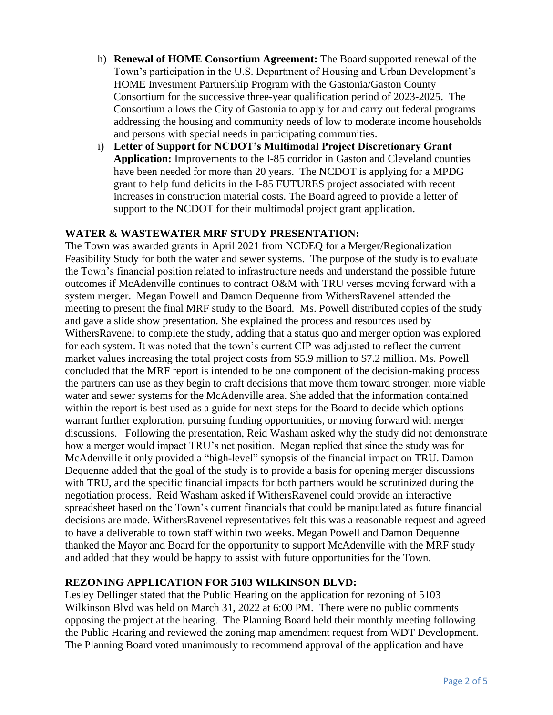- h) **Renewal of HOME Consortium Agreement:** The Board supported renewal of the Town's participation in the U.S. Department of Housing and Urban Development's HOME Investment Partnership Program with the Gastonia/Gaston County Consortium for the successive three-year qualification period of 2023-2025. The Consortium allows the City of Gastonia to apply for and carry out federal programs addressing the housing and community needs of low to moderate income households and persons with special needs in participating communities.
- i) **Letter of Support for NCDOT's Multimodal Project Discretionary Grant Application:** Improvements to the I-85 corridor in Gaston and Cleveland counties have been needed for more than 20 years. The NCDOT is applying for a MPDG grant to help fund deficits in the I-85 FUTURES project associated with recent increases in construction material costs. The Board agreed to provide a letter of support to the NCDOT for their multimodal project grant application.

# **WATER & WASTEWATER MRF STUDY PRESENTATION:**

The Town was awarded grants in April 2021 from NCDEQ for a Merger/Regionalization Feasibility Study for both the water and sewer systems. The purpose of the study is to evaluate the Town's financial position related to infrastructure needs and understand the possible future outcomes if McAdenville continues to contract O&M with TRU verses moving forward with a system merger. Megan Powell and Damon Dequenne from WithersRavenel attended the meeting to present the final MRF study to the Board. Ms. Powell distributed copies of the study and gave a slide show presentation. She explained the process and resources used by WithersRavenel to complete the study, adding that a status quo and merger option was explored for each system. It was noted that the town's current CIP was adjusted to reflect the current market values increasing the total project costs from \$5.9 million to \$7.2 million. Ms. Powell concluded that the MRF report is intended to be one component of the decision-making process the partners can use as they begin to craft decisions that move them toward stronger, more viable water and sewer systems for the McAdenville area. She added that the information contained within the report is best used as a guide for next steps for the Board to decide which options warrant further exploration, pursuing funding opportunities, or moving forward with merger discussions. Following the presentation, Reid Washam asked why the study did not demonstrate how a merger would impact TRU's net position. Megan replied that since the study was for McAdenville it only provided a "high-level" synopsis of the financial impact on TRU. Damon Dequenne added that the goal of the study is to provide a basis for opening merger discussions with TRU, and the specific financial impacts for both partners would be scrutinized during the negotiation process. Reid Washam asked if WithersRavenel could provide an interactive spreadsheet based on the Town's current financials that could be manipulated as future financial decisions are made. WithersRavenel representatives felt this was a reasonable request and agreed to have a deliverable to town staff within two weeks. Megan Powell and Damon Dequenne thanked the Mayor and Board for the opportunity to support McAdenville with the MRF study and added that they would be happy to assist with future opportunities for the Town.

### **REZONING APPLICATION FOR 5103 WILKINSON BLVD:**

Lesley Dellinger stated that the Public Hearing on the application for rezoning of 5103 Wilkinson Blvd was held on March 31, 2022 at 6:00 PM. There were no public comments opposing the project at the hearing. The Planning Board held their monthly meeting following the Public Hearing and reviewed the zoning map amendment request from WDT Development. The Planning Board voted unanimously to recommend approval of the application and have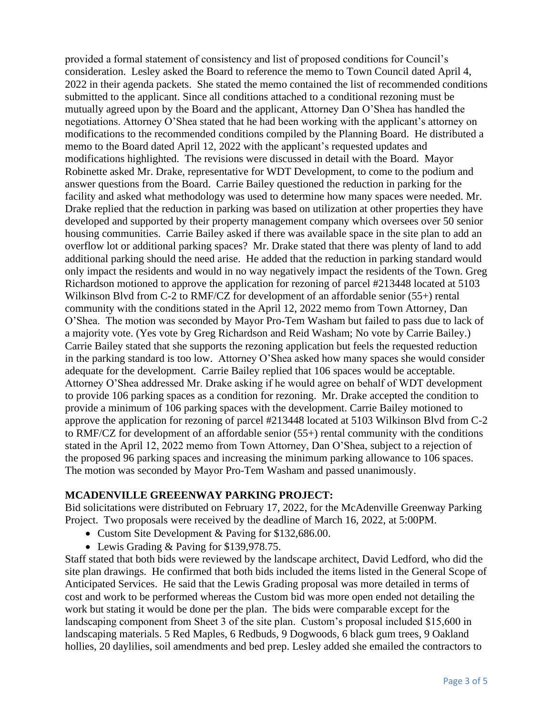provided a formal statement of consistency and list of proposed conditions for Council's consideration. Lesley asked the Board to reference the memo to Town Council dated April 4, 2022 in their agenda packets. She stated the memo contained the list of recommended conditions submitted to the applicant. Since all conditions attached to a conditional rezoning must be mutually agreed upon by the Board and the applicant, Attorney Dan O'Shea has handled the negotiations. Attorney O'Shea stated that he had been working with the applicant's attorney on modifications to the recommended conditions compiled by the Planning Board. He distributed a memo to the Board dated April 12, 2022 with the applicant's requested updates and modifications highlighted. The revisions were discussed in detail with the Board. Mayor Robinette asked Mr. Drake, representative for WDT Development, to come to the podium and answer questions from the Board. Carrie Bailey questioned the reduction in parking for the facility and asked what methodology was used to determine how many spaces were needed. Mr. Drake replied that the reduction in parking was based on utilization at other properties they have developed and supported by their property management company which oversees over 50 senior housing communities. Carrie Bailey asked if there was available space in the site plan to add an overflow lot or additional parking spaces? Mr. Drake stated that there was plenty of land to add additional parking should the need arise. He added that the reduction in parking standard would only impact the residents and would in no way negatively impact the residents of the Town. Greg Richardson motioned to approve the application for rezoning of parcel #213448 located at 5103 Wilkinson Blvd from C-2 to RMF/CZ for development of an affordable senior (55+) rental community with the conditions stated in the April 12, 2022 memo from Town Attorney, Dan O'Shea. The motion was seconded by Mayor Pro-Tem Washam but failed to pass due to lack of a majority vote. (Yes vote by Greg Richardson and Reid Washam; No vote by Carrie Bailey.) Carrie Bailey stated that she supports the rezoning application but feels the requested reduction in the parking standard is too low. Attorney O'Shea asked how many spaces she would consider adequate for the development. Carrie Bailey replied that 106 spaces would be acceptable. Attorney O'Shea addressed Mr. Drake asking if he would agree on behalf of WDT development to provide 106 parking spaces as a condition for rezoning. Mr. Drake accepted the condition to provide a minimum of 106 parking spaces with the development. Carrie Bailey motioned to approve the application for rezoning of parcel #213448 located at 5103 Wilkinson Blvd from C-2 to RMF/CZ for development of an affordable senior (55+) rental community with the conditions stated in the April 12, 2022 memo from Town Attorney, Dan O'Shea, subject to a rejection of the proposed 96 parking spaces and increasing the minimum parking allowance to 106 spaces. The motion was seconded by Mayor Pro-Tem Washam and passed unanimously.

#### **MCADENVILLE GREEENWAY PARKING PROJECT:**

Bid solicitations were distributed on February 17, 2022, for the McAdenville Greenway Parking Project. Two proposals were received by the deadline of March 16, 2022, at 5:00PM.

- Custom Site Development & Paving for \$132,686.00.
- Lewis Grading & Paving for \$139,978.75.

Staff stated that both bids were reviewed by the landscape architect, David Ledford, who did the site plan drawings. He confirmed that both bids included the items listed in the General Scope of Anticipated Services. He said that the Lewis Grading proposal was more detailed in terms of cost and work to be performed whereas the Custom bid was more open ended not detailing the work but stating it would be done per the plan. The bids were comparable except for the landscaping component from Sheet 3 of the site plan. Custom's proposal included \$15,600 in landscaping materials. 5 Red Maples, 6 Redbuds, 9 Dogwoods, 6 black gum trees, 9 Oakland hollies, 20 daylilies, soil amendments and bed prep. Lesley added she emailed the contractors to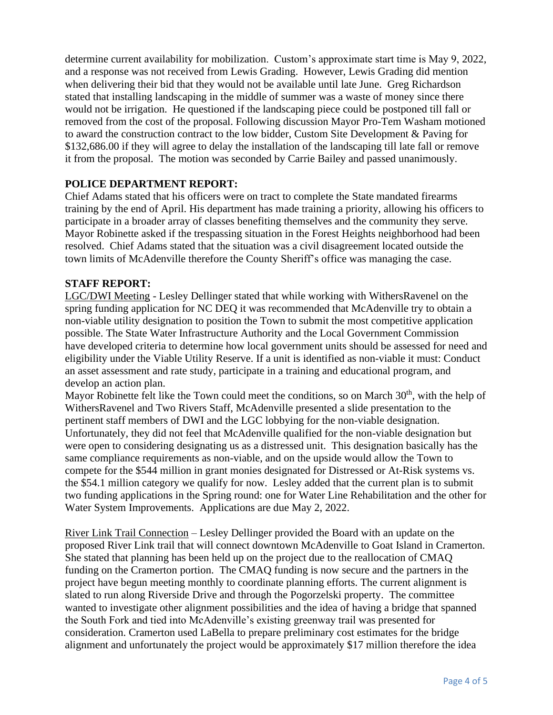determine current availability for mobilization. Custom's approximate start time is May 9, 2022, and a response was not received from Lewis Grading. However, Lewis Grading did mention when delivering their bid that they would not be available until late June. Greg Richardson stated that installing landscaping in the middle of summer was a waste of money since there would not be irrigation. He questioned if the landscaping piece could be postponed till fall or removed from the cost of the proposal. Following discussion Mayor Pro-Tem Washam motioned to award the construction contract to the low bidder, Custom Site Development & Paving for \$132,686.00 if they will agree to delay the installation of the landscaping till late fall or remove it from the proposal. The motion was seconded by Carrie Bailey and passed unanimously.

# **POLICE DEPARTMENT REPORT:**

Chief Adams stated that his officers were on tract to complete the State mandated firearms training by the end of April. His department has made training a priority, allowing his officers to participate in a broader array of classes benefiting themselves and the community they serve. Mayor Robinette asked if the trespassing situation in the Forest Heights neighborhood had been resolved. Chief Adams stated that the situation was a civil disagreement located outside the town limits of McAdenville therefore the County Sheriff's office was managing the case.

### **STAFF REPORT:**

LGC/DWI Meeting - Lesley Dellinger stated that while working with WithersRavenel on the spring funding application for NC DEQ it was recommended that McAdenville try to obtain a non-viable utility designation to position the Town to submit the most competitive application possible. The State Water Infrastructure Authority and the Local Government Commission have developed criteria to determine how local government units should be assessed for need and eligibility under the Viable Utility Reserve. If a unit is identified as non-viable it must: Conduct an asset assessment and rate study, participate in a training and educational program, and develop an action plan.

Mayor Robinette felt like the Town could meet the conditions, so on March 30<sup>th</sup>, with the help of WithersRavenel and Two Rivers Staff, McAdenville presented a slide presentation to the pertinent staff members of DWI and the LGC lobbying for the non-viable designation. Unfortunately, they did not feel that McAdenville qualified for the non-viable designation but were open to considering designating us as a distressed unit. This designation basically has the same compliance requirements as non-viable, and on the upside would allow the Town to compete for the \$544 million in grant monies designated for Distressed or At-Risk systems vs. the \$54.1 million category we qualify for now. Lesley added that the current plan is to submit two funding applications in the Spring round: one for Water Line Rehabilitation and the other for Water System Improvements. Applications are due May 2, 2022.

River Link Trail Connection – Lesley Dellinger provided the Board with an update on the proposed River Link trail that will connect downtown McAdenville to Goat Island in Cramerton. She stated that planning has been held up on the project due to the reallocation of CMAQ funding on the Cramerton portion. The CMAQ funding is now secure and the partners in the project have begun meeting monthly to coordinate planning efforts. The current alignment is slated to run along Riverside Drive and through the Pogorzelski property. The committee wanted to investigate other alignment possibilities and the idea of having a bridge that spanned the South Fork and tied into McAdenville's existing greenway trail was presented for consideration. Cramerton used LaBella to prepare preliminary cost estimates for the bridge alignment and unfortunately the project would be approximately \$17 million therefore the idea